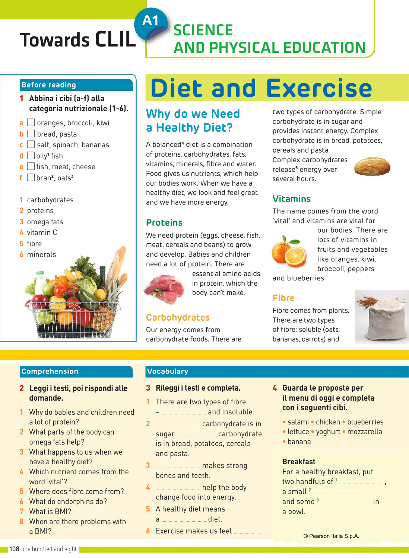# Towards CLIL SCIENCE

#### **Before reading**

- 1 **Abbina i cibi (a-f) alla categoria nutrizionale (1-6).**
- **a**  $\Box$  oranges, broccoli, kiwi
- $\mathbf{b} \Box$  bread, pasta
- $\mathbf{c} \square$  salt, spinach, bananas
- **d** □ oily<sup>1</sup> fish
- **e** □ fish, meat, cheese
- **f** bran**<sup>2</sup>** , oats**<sup>3</sup>**
- **1** carbohydrates
- **2** proteins
- **3** omega fats
- **4** vitamin C
- **5** fibre
- **6** minerals



# **Diet and Exercise**

AND PHYSICAL EDUCATION

# **Why do we Need a Healthy Diet?**

A balanced**<sup>4</sup>** diet is a combination of proteins, carbohydrates, fats, vitamins, minerals, fibre and water. Food gives us nutrients, which help our bodies work. When we have a healthy diet, we look and feel great and we have more energy.

## **Proteins**

**A1**

We need protein (eggs, cheese, fish, meat, cereals and beans) to grow and develop. Babies and children need a lot of protein. There are



essential amino acids in protein, which the body can't make.

## **Carbohydrates**

Our energy comes from carbohydrate foods. There are two types of carbohydrate. Simple carbohydrate is in sugar and provides instant energy. Complex carbohydrate is in bread, potatoes, cereals and pasta.

Complex carbohydrates release**<sup>5</sup>** energy over several hours.



## **Vitamins**

The name comes from the word 'vital' and vitamins are vital for



our bodies. There are lots of vitamins in fruits and vegetables like oranges, kiwi, broccoli, peppers

and blueberries.

## **Fibre**

Fibre comes from plants. There are two types of fibre: soluble (oats, bananas, carrots) and



## **Comprehension**

- 2 **Leggi i testi, poi rispondi alle domande.**
- **1** Why do babies and children need a lot of protein?
- **2** What parts of the body can omega fats help?
- **3** What happens to us when we have a healthy diet?
- **4** Which nutrient comes from the word 'vital'?
- **5** Where does fibre come from?
- **6** What do endorphins do?
- **7** What is BMI?
- **8** When are there problems with a BMI?

## **Vocabulary**

## 3 **Rileggi i testi e completa.**

- **1** There are two types of fibre – ..................................... and insoluble.
- **2** ..................................... carbohydrate is in sugar. ................................ carbohydrate is in bread, potatoes, cereals and pasta.
- **3** ..................................... makes strong bones and teeth.
- **4** ..................................... help the body change food into energy.
- **5** A healthy diet means a ..................................... diet.
- 
- **6** Exercise makes us feel .................... .
- 4 **Guarda le proposte per il menu di oggi e completa con i seguenti cibi.**
	- **•** salami **•** chicken **•** blueberries
	- **•** lettuce **•** yoghurt **•** mozzarella
	- **•** banana

#### **Breakfast**

| For a healthy breakfast, put |  |  |  |
|------------------------------|--|--|--|
|                              |  |  |  |
|                              |  |  |  |
|                              |  |  |  |
| a bowl.                      |  |  |  |